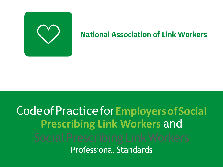

## **National Association of Link Workers**

# CodeofPracticefor**EmployersofSocial Prescribing Link Workers** and Professional Standards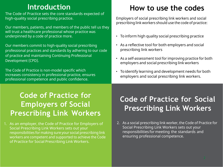### **Introduction**

The Code of Practice sets the core standards expected of high-quality social prescribing practice.

Our members, patients, and members of the public tell us they will trust a healthcare professional whose practice was underpinned by a code of practice more.

Our members commit to high-quality social prescribing professional practices and standards by adhering to our code of practice and maintaining Continuing Professional Development (CPD).

The Code of Practice is non-model specific which increases consistency in professional practice, ensures professional competence and public confidence.

### **Code of Practice for Employers of Social Prescribing Link Workers**

1. As an employer, the Code of Practice for Employers of Social Prescribing Link Workers sets out your responsibilities for making sure your social prescribing link workers are competent and supported to achieve the Code of Practice for Social Prescribing Link Workers.

## **How to use the codes**

Employers of social prescribing link workers and social prescribing link workers should use the code of practice:

- To inform high quality social prescribing practice
- As a reflective tool for both employers and social prescribing link workers
- As a self-assessment tool for improving practice for both employers and social prescribing link workers
- Toidentify learning and development needs for both employers and social prescribing link workers.

## **Code of Practice for Social Prescribing Link Workers**

2. As a social prescribing link worker, the Code of Practice for Social Prescribing Link Workers sets out your responsibilities for meeting the standards and ensuring professional competence.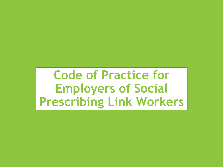**Code of Practice for Employers of Social Prescribing Link Workers**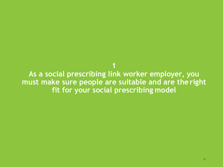**As a social prescribing link worker employer, you must make sure people are suitable and are the right fit for your social prescribing model**

**1**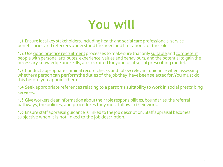# **You will**

**1.1** Ensure local key stakeholders, including health and social care professionals, service beneficiaries and referrers understand the need and limitations for the role.

**1.2** Use good practice recruitment processes to make sure that only suitable and competent people with personal attributes, experience, values and behaviours, and the potential to gain the necessary knowledge and skills, are recruited for your local social prescribing model.

**1.3** Conduct appropriate criminal record checks and follow relevant guidance when assessing whether a person can perform the duties of the job they have been selected for. You must do this before you appoint them.

**1.4** Seek appropriate references relating to a person's suitability to work in social prescribing services.

**1.5** Give workers clear information about their role responsibilities, boundaries, the referral pathways, the policies, and procedures they must follow in their work.

**1.6** Ensure staff appraisal guidance is linked to the job description. Staff appraisal becomes subjective when it is not linked to the job description.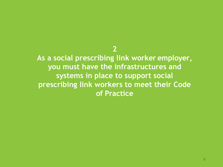**As a social prescribing link worker employer, you must have the infrastructures and systems in place to support social prescribing link workers to meet their Code of Practice**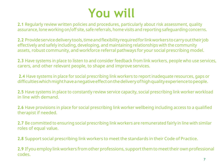# **You will**

**2.1** Regularly review written policies and procedures, particularly about risk assessment, quality assurance, lone working on/off site, safe referrals, home visits and reporting safeguarding concerns.

**2.2** Provideservicedeliverytools,timeandflexibilityrequiredforlinkworkerstocarryouttheirjob effectively and safely including, developing, and maintaining relationships with the community assets, robust community, and workforce referral pathways for your social prescribing model.

**2.3** Have systems in place to listen to and consider feedback from link workers, people who use services, carers, and other relevant people, to shape and improve services.

**2.4** Have systems in place for social prescribing link workers to report inadequate resources, gaps or difficultieswhichmighthaveanegativeeffectonthedeliveryofhighqualityexperiencetopeople.

**2.5** Have systems in place to constantly review service capacity, social prescribing link worker workload in line with demand.

**2.6** Have provisions in place for social prescribing link worker wellbeing including access to a qualified therapist if needed.

**2.7** Be committed to ensuring social prescribing link workers are remunerated fairly in line with similar roles of equal value.

**2.8** Support social prescribing link workers to meet the standards in their Code of Practice.

**2.9** If youemploy linkworkers fromotherprofessions, supportthemtomeettheir ownprofessional codes.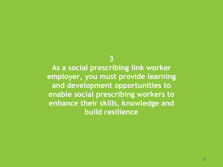**As a social prescribing link worker employer, you must provide learning and development opportunities to enable social prescribing workers to enhance their skills, knowledge and build resilience**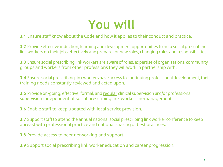

#### **3.1** Ensure staff know about the Code and how it applies to their conduct and practice.

**3.2** Provide effective induction, learning and development opportunities to help social prescribing link workers do their jobs effectively and prepare for new roles, changing roles and responsibilities.

**3.3** Ensure social prescribing link workers are aware of roles, expertise of organisations, community groups and workers from other professions they will work in partnership with.

**3.4** Ensure social prescribing link workers have access to continuing professional development, their training needs constantly reviewed and acted upon.

**3.5** Provide on-going, effective, formal, and regular clinical supervision and/or professional supervision independent of social prescribing link worker linemanagement.

**3.6** Enable staff to keep updated with local service provision.

**3.7** Support staff to attend the annual national social prescribing link worker conference to keep abreast with professional practice and national sharing of best practices.

**3.8** Provide access to peer networking and support.

**3.9** Support social prescribing link worker education and career progression.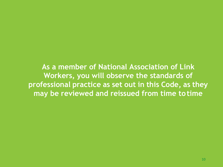**As a member of National Association of Link Workers, you will observe the standards of professional practice as set out in this Code, as they may be reviewed and reissued from time to time**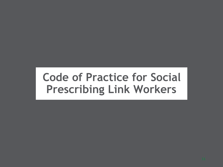# **Code of Practice for Social Prescribing Link Workers**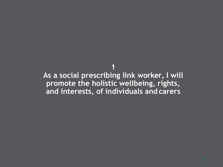**1 As a social prescribing link worker, I will promote the holistic wellbeing, rights, and interests, of individuals and carers**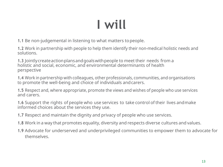**1.1** Be non-judgemental in listening to what matters topeople.

**1.2** Work in partnership with people to help them identify their non-medical holistic needs and solutions.

**1.3** Jointlycreateactionplansandgoalswithpeople to meet their needs from a holistic and social, economic, and environmental determinants of health perspective

**1.4** Work in partnership with colleagues, other professionals, communities, and organisations to promote the well-being and choice of individuals andcarers.

**1.5** Respect and, where appropriate, promote the views and wishes of people who use services and carers.

**1.6** Support the rights of people who use services to take control of their lives andmake informed choices about the services they use.

**1.7** Respect and maintain the dignity and privacy of people who use services.

- **1.8** Work in a way that promotes equality, diversity and respects diverse cultures and values.
- **1.9** Advocate for underserved and underprivileged communities to empower them to advocate for themselves.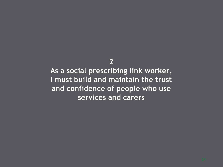**As a social prescribing link worker, I must build and maintain the trust and confidence of people who use services and carers**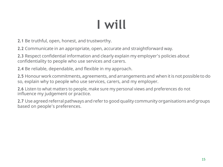**2.1** Be truthful, open, honest, and trustworthy.

**2.2** Communicate in an appropriate, open, accurate and straightforward way.

**2.3** Respect confidential information and clearly explain my employer's policies about confidentiality to people who use services and carers.

**2.4** Be reliable, dependable, and flexible in my approach.

**2.5** Honour work commitments, agreements, and arrangements and when it is not possible to do so, explain why to people who use services, carers, and my employer.

**2.6** Listen to what matters to people, make sure my personal views and preferences do not influence my judgement or practice.

**2.7** Use agreed referral pathways and refer to good quality community organisations andgroups based on people's preferences.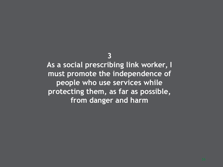**As a social prescribing link worker, I must promote the independence of people who use services while protecting them, as far as possible, from danger and harm**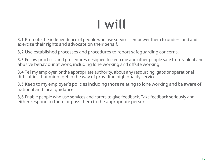**3.1** Promote the independence of people who use services, empower them to understand and exercise their rights and advocate on their behalf.

**3.2** Use established processes and procedures to report safeguarding concerns.

**3.3** Follow practices and procedures designed to keep me and other people safe from violent and abusive behaviour at work, including lone working and offsite working.

**3.4** Tell my employer, or the appropriate authority, about any resourcing, gaps or operational difficulties that might get in the way of providing high quality service.

**3.5** Keep to my employer's policies including those relating to lone working and be aware of national and local guidance.

**3.6** Enable people who use services and carers to give feedback. Take feedback seriously and either respond to them or pass them to the appropriate person.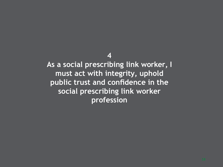As a social prescribing link worker, I **must act with integrity, uphold public trust and confidence in the social prescribing link worker profession**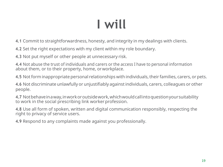**4.1** Commit to straightforwardness, honesty, and integrity in my dealings with clients.

**4.2** Set the right expectations with my client within my role boundary.

**4.3** Not put myself or other people at unnecessary risk.

**4.4** Not abuse the trust of individuals and carers or the access I have to personal information about them, or to their property, home, orworkplace.

**4.5** Not form inappropriate personal relationships with individuals, their families, carers, or pets.

**4.6** Not discriminate unlawfully or unjustifiably againstindividuals, carers, colleagues or other people.

**4.7** Notbehaveinaway,inworkoroutsidework,whichwouldcallintoquestionyoursuitability to work in the social prescribing link worker profession.

**4.8** Use all form of spoken, written and digital communication responsibly, respecting the right to privacy of service users.

**4.9** Respond to any complaints made against you professionally.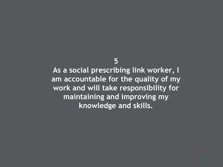**As a social prescribing link worker, I am accountable for the quality of my work and will take responsibility for maintaining and improving my knowledge and skills.**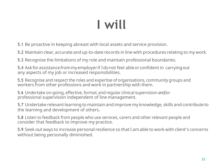**5.1** Be proactive in keeping abreast with local assets and service provision.

**5.2** Maintain clear, accurate and up-to-date records in line with procedures relating to my work.

**5.3** Recognise the limitations of my role and maintain professional boundaries.

**5.4** Askforassistancefrommyemployer if Idonot feel ableorconfident in carryingout any aspects of my job or increased responsibilities.

**5.5** Recognise and respect the roles and expertise of organisations, community groups and workers from other professions and work in partnership with them.

**5.6** Undertake on-going, effective, formal, and regular clinical supervision and/or professional supervision independent of line management.

**5.7** Undertake relevant learning to maintain and improve my knowledge, skills and contribute to the learning and development of others.

**5.8** Listen to feedback from people who use services, carers and other relevant people and consider that feedback to improve my practice.

**5.9** Seek out ways to increase personal resilience so thatI am able to work with client's concerns without being personally diminished.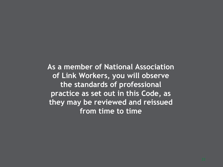**As a member of National Association of Link Workers, you will observe the standards of professional practice as set out in this Code, as they may be reviewed and reissued from time to time**